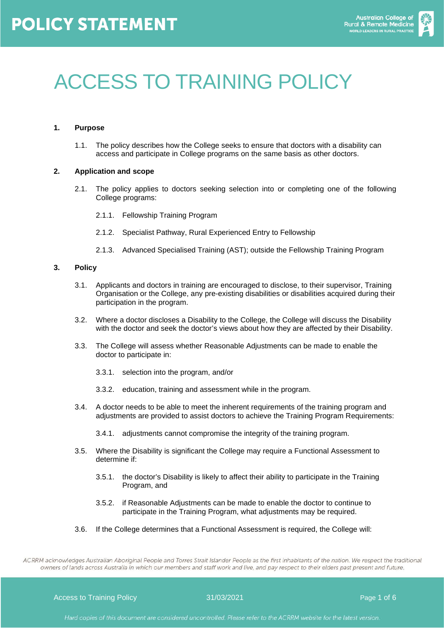

# ACCESS TO TRAINING POLICY

#### **1. Purpose**

1.1. The policy describes how the College seeks to ensure that doctors with a disability can access and participate in College programs on the same basis as other doctors.

#### **2. Application and scope**

- 2.1. The policy applies to doctors seeking selection into or completing one of the following College programs:
	- 2.1.1. Fellowship Training Program
	- 2.1.2. Specialist Pathway, Rural Experienced Entry to Fellowship
	- 2.1.3. Advanced Specialised Training (AST); outside the Fellowship Training Program

#### **3. Policy**

- 3.1. Applicants and doctors in training are encouraged to disclose, to their supervisor, Training Organisation or the College, any pre-existing disabilities or disabilities acquired during their participation in the program.
- 3.2. Where a doctor discloses a Disability to the College, the College will discuss the Disability with the doctor and seek the doctor's views about how they are affected by their Disability.
- 3.3. The College will assess whether Reasonable Adjustments can be made to enable the doctor to participate in:
	- 3.3.1. selection into the program, and/or
	- 3.3.2. education, training and assessment while in the program.
- 3.4. A doctor needs to be able to meet the inherent requirements of the training program and adjustments are provided to assist doctors to achieve the Training Program Requirements:
	- 3.4.1. adjustments cannot compromise the integrity of the training program.
- 3.5. Where the Disability is significant the College may require a Functional Assessment to determine if:
	- 3.5.1. the doctor's Disability is likely to affect their ability to participate in the Training Program, and
	- 3.5.2. if Reasonable Adjustments can be made to enable the doctor to continue to participate in the Training Program, what adjustments may be required.
- 3.6. If the College determines that a Functional Assessment is required, the College will:

ACRRM acknowledges Australian Aboriginal People and Torres Strait Islander People as the first inhabitants of the nation. We respect the traditional owners of lands across Australia in which our members and staff work and live, and pay respect to their elders past present and future.

Access to Training Policy **31/03/2021 Page 1 of 6**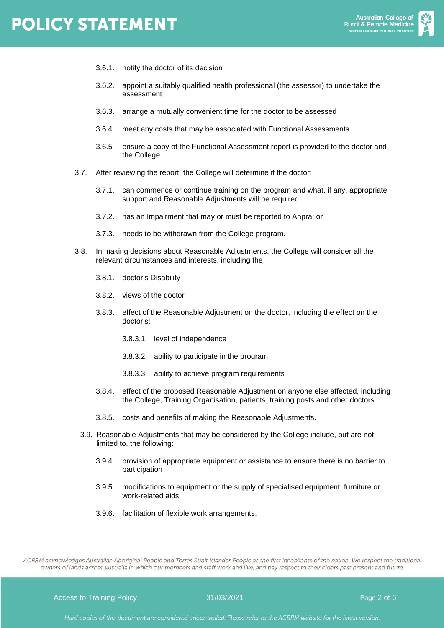## **POLICY STATEMENT**



- 3.6.1. notify the doctor of its decision
- 3.6.2. appoint a suitably qualified health professional (the assessor) to undertake the assessment
- 3.6.3. arrange a mutually convenient time for the doctor to be assessed
- 3.6.4. meet any costs that may be associated with Functional Assessments
- 3.6.5 ensure a copy of the Functional Assessment report is provided to the doctor and the College.
- 3.7. After reviewing the report, the College will determine if the doctor:
	- 3.7.1. can commence or continue training on the program and what, if any, appropriate support and Reasonable Adjustments will be required
	- 3.7.2. has an Impairment that may or must be reported to Ahpra; or
	- 3.7.3. needs to be withdrawn from the College program.
- 3.8. In making decisions about Reasonable Adjustments, the College will consider all the relevant circumstances and interests, including the
	- 3.8.1. doctor's Disability
	- 3.8.2. views of the doctor
	- 3.8.3. effect of the Reasonable Adjustment on the doctor, including the effect on the doctor's:
		- 3.8.3.1. level of independence
		- 3.8.3.2. ability to participate in the program
		- 3.8.3.3. ability to achieve program requirements
	- 3.8.4. effect of the proposed Reasonable Adjustment on anyone else affected, including the College, Training Organisation, patients, training posts and other doctors
	- 3.8.5. costs and benefits of making the Reasonable Adjustments.
	- 3.9. Reasonable Adjustments that may be considered by the College include, but are not limited to, the following:
		- 3.9.4. provision of appropriate equipment or assistance to ensure there is no barrier to participation
		- 3.9.5. modifications to equipment or the supply of specialised equipment, furniture or work-related aids
		- 3.9.6. facilitation of flexible work arrangements.

ACRRM acknowledges Australian Aboriginal People and Torres Strait Islander People as the first inhabitants of the nation. We respect the traditional owners of lands across Australia in which our members and staff work and live, and pay respect to their elders past present and future.

Access to Training Policy **31/03/2021 Page 2 of 6**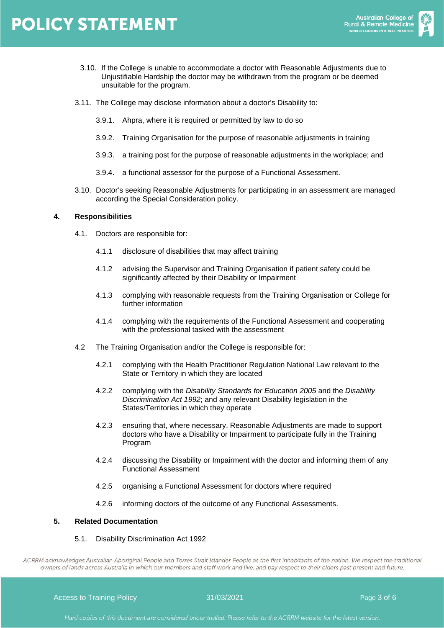

- 3.10. If the College is unable to accommodate a doctor with Reasonable Adjustments due to Unjustifiable Hardship the doctor may be withdrawn from the program or be deemed unsuitable for the program.
- 3.11. The College may disclose information about a doctor's Disability to:
	- 3.9.1. Ahpra, where it is required or permitted by law to do so
	- 3.9.2. Training Organisation for the purpose of reasonable adjustments in training
	- 3.9.3. a training post for the purpose of reasonable adjustments in the workplace; and
	- 3.9.4. a functional assessor for the purpose of a Functional Assessment.
- 3.10. Doctor's seeking Reasonable Adjustments for participating in an assessment are managed according the Special Consideration policy.

#### **4. Responsibilities**

- 4.1. Doctors are responsible for:
	- 4.1.1 disclosure of disabilities that may affect training
	- 4.1.2 advising the Supervisor and Training Organisation if patient safety could be significantly affected by their Disability or Impairment
	- 4.1.3 complying with reasonable requests from the Training Organisation or College for further information
	- 4.1.4 complying with the requirements of the Functional Assessment and cooperating with the professional tasked with the assessment
- 4.2 The Training Organisation and/or the College is responsible for:
	- 4.2.1 complying with the Health Practitioner Regulation National Law relevant to the State or Territory in which they are located
	- 4.2.2 complying with the *Disability Standards for Education 2005* and the *Disability Discrimination Act 1992*; and any relevant Disability legislation in the States/Territories in which they operate
	- 4.2.3 ensuring that, where necessary, Reasonable Adjustments are made to support doctors who have a Disability or Impairment to participate fully in the Training Program
	- 4.2.4 discussing the Disability or Impairment with the doctor and informing them of any Functional Assessment
	- 4.2.5 organising a Functional Assessment for doctors where required
	- 4.2.6 informing doctors of the outcome of any Functional Assessments.

#### **5. Related Documentation**

#### 5.1. Disability Discrimination Act 1992

ACRRM acknowledges Australian Aboriginal People and Torres Strait Islander People as the first inhabitants of the nation. We respect the traditional owners of lands across Australia in which our members and staff work and live, and pay respect to their elders past present and future.

Access to Training Policy **31/03/2021 Page 3 of 6** and 2011 **Page 3 of 6**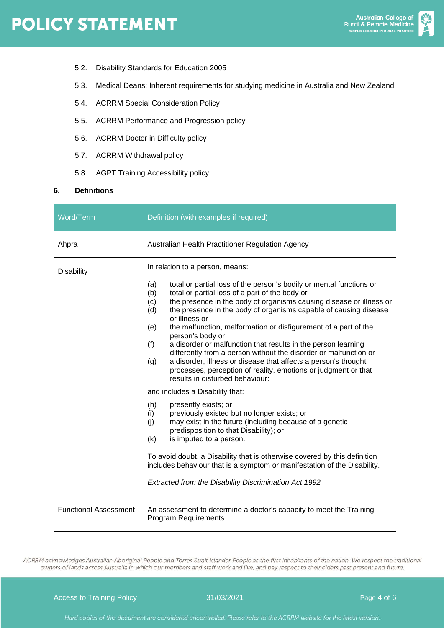- 5.2. Disability Standards for Education 2005
- 5.3. Medical Deans; Inherent requirements for studying medicine in Australia and New Zealand
- 5.4. ACRRM Special Consideration Policy
- 5.5. ACRRM Performance and Progression policy
- 5.6. ACRRM Doctor in Difficulty policy
- 5.7. ACRRM Withdrawal policy
- 5.8. AGPT Training Accessibility policy

### **6. Definitions**

| Word/Term                    | Definition (with examples if required)                                                                                                                                                                                                                                                                                                                                                                                                                                                                                                                                                                                                                                                                                                                                                                                                                                                                                                                                                                                                                                                                                                                                                                                                                           |  |  |  |
|------------------------------|------------------------------------------------------------------------------------------------------------------------------------------------------------------------------------------------------------------------------------------------------------------------------------------------------------------------------------------------------------------------------------------------------------------------------------------------------------------------------------------------------------------------------------------------------------------------------------------------------------------------------------------------------------------------------------------------------------------------------------------------------------------------------------------------------------------------------------------------------------------------------------------------------------------------------------------------------------------------------------------------------------------------------------------------------------------------------------------------------------------------------------------------------------------------------------------------------------------------------------------------------------------|--|--|--|
| Ahpra                        | Australian Health Practitioner Regulation Agency                                                                                                                                                                                                                                                                                                                                                                                                                                                                                                                                                                                                                                                                                                                                                                                                                                                                                                                                                                                                                                                                                                                                                                                                                 |  |  |  |
| <b>Disability</b>            | In relation to a person, means:<br>total or partial loss of the person's bodily or mental functions or<br>(a)<br>total or partial loss of a part of the body or<br>(b)<br>the presence in the body of organisms causing disease or illness or<br>(c)<br>(d)<br>the presence in the body of organisms capable of causing disease<br>or illness or<br>the malfunction, malformation or disfigurement of a part of the<br>(e)<br>person's body or<br>a disorder or malfunction that results in the person learning<br>(f)<br>differently from a person without the disorder or malfunction or<br>a disorder, illness or disease that affects a person's thought<br>(g)<br>processes, perception of reality, emotions or judgment or that<br>results in disturbed behaviour:<br>and includes a Disability that:<br>(h)<br>presently exists; or<br>previously existed but no longer exists; or<br>(i)<br>may exist in the future (including because of a genetic<br>(i)<br>predisposition to that Disability); or<br>is imputed to a person.<br>(k)<br>To avoid doubt, a Disability that is otherwise covered by this definition<br>includes behaviour that is a symptom or manifestation of the Disability.<br>Extracted from the Disability Discrimination Act 1992 |  |  |  |
| <b>Functional Assessment</b> | An assessment to determine a doctor's capacity to meet the Training<br><b>Program Requirements</b>                                                                                                                                                                                                                                                                                                                                                                                                                                                                                                                                                                                                                                                                                                                                                                                                                                                                                                                                                                                                                                                                                                                                                               |  |  |  |

ACRRM acknowledges Australian Aboriginal People and Torres Strait Islander People as the first inhabitants of the nation. We respect the traditional owners of lands across Australia in which our members and staff work and live, and pay respect to their elders past present and future.

Access to Training Policy and California 31/03/2021 Page 4 of 6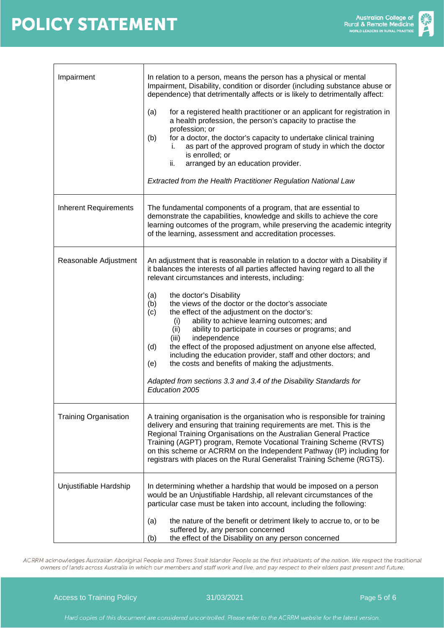

| Impairment                   | In relation to a person, means the person has a physical or mental<br>Impairment, Disability, condition or disorder (including substance abuse or<br>dependence) that detrimentally affects or is likely to detrimentally affect:<br>for a registered health practitioner or an applicant for registration in<br>(a)<br>a health profession, the person's capacity to practise the<br>profession; or<br>for a doctor, the doctor's capacity to undertake clinical training<br>(b)<br>as part of the approved program of study in which the doctor<br>İ.<br>is enrolled; or<br>ii.<br>arranged by an education provider.<br><b>Extracted from the Health Practitioner Regulation National Law</b>                                                                                                               |  |  |  |  |
|------------------------------|----------------------------------------------------------------------------------------------------------------------------------------------------------------------------------------------------------------------------------------------------------------------------------------------------------------------------------------------------------------------------------------------------------------------------------------------------------------------------------------------------------------------------------------------------------------------------------------------------------------------------------------------------------------------------------------------------------------------------------------------------------------------------------------------------------------|--|--|--|--|
| <b>Inherent Requirements</b> | The fundamental components of a program, that are essential to<br>demonstrate the capabilities, knowledge and skills to achieve the core<br>learning outcomes of the program, while preserving the academic integrity<br>of the learning, assessment and accreditation processes.                                                                                                                                                                                                                                                                                                                                                                                                                                                                                                                              |  |  |  |  |
| Reasonable Adjustment        | An adjustment that is reasonable in relation to a doctor with a Disability if<br>it balances the interests of all parties affected having regard to all the<br>relevant circumstances and interests, including:<br>the doctor's Disability<br>(a)<br>the views of the doctor or the doctor's associate<br>(b)<br>(c)<br>the effect of the adjustment on the doctor's:<br>ability to achieve learning outcomes; and<br>(i)<br>ability to participate in courses or programs; and<br>(ii)<br>independence<br>(iii)<br>the effect of the proposed adjustment on anyone else affected,<br>(d)<br>including the education provider, staff and other doctors; and<br>the costs and benefits of making the adjustments.<br>(e)<br>Adapted from sections 3.3 and 3.4 of the Disability Standards for<br>Education 2005 |  |  |  |  |
| <b>Training Organisation</b> | A training organisation is the organisation who is responsible for training<br>delivery and ensuring that training requirements are met. This is the<br>Regional Training Organisations on the Australian General Practice<br>Training (AGPT) program, Remote Vocational Training Scheme (RVTS)<br>on this scheme or ACRRM on the Independent Pathway (IP) including for<br>registrars with places on the Rural Generalist Training Scheme (RGTS).                                                                                                                                                                                                                                                                                                                                                             |  |  |  |  |
| Unjustifiable Hardship       | In determining whether a hardship that would be imposed on a person<br>would be an Unjustifiable Hardship, all relevant circumstances of the<br>particular case must be taken into account, including the following:<br>the nature of the benefit or detriment likely to accrue to, or to be<br>(a)<br>suffered by, any person concerned<br>the effect of the Disability on any person concerned<br>(b)                                                                                                                                                                                                                                                                                                                                                                                                        |  |  |  |  |

ACRRM acknowledges Australian Aboriginal People and Torres Strait Islander People as the first inhabitants of the nation. We respect the traditional owners of lands across Australia in which our members and staff work and live, and pay respect to their elders past present and future.

Access to Training Policy and Access to Training Policy and Access to Training Policy and Access to Training Policy